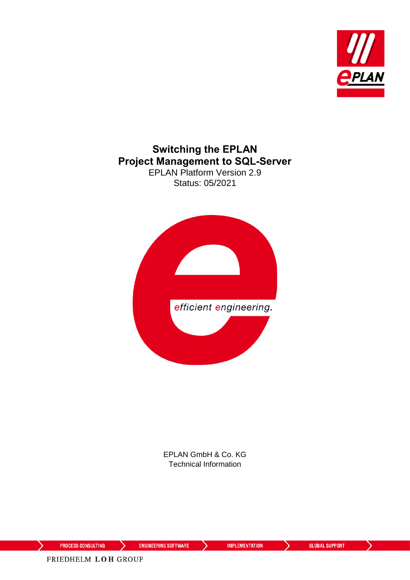

### **Switching the EPLAN Project Management to SQL-Server** EPLAN Platform Version 2.9

Status: 05/2021



EPLAN GmbH & Co. KG Technical Information

⋋

⋋

⟩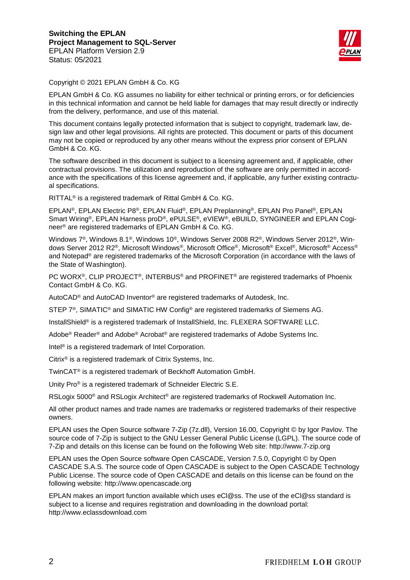

Copyright © 2021 EPLAN GmbH & Co. KG

EPLAN GmbH & Co. KG assumes no liability for either technical or printing errors, or for deficiencies in this technical information and cannot be held liable for damages that may result directly or indirectly from the delivery, performance, and use of this material.

This document contains legally protected information that is subject to copyright, trademark law, design law and other legal provisions. All rights are protected. This document or parts of this document may not be copied or reproduced by any other means without the express prior consent of EPLAN GmbH & Co. KG.

The software described in this document is subject to a licensing agreement and, if applicable, other contractual provisions. The utilization and reproduction of the software are only permitted in accordance with the specifications of this license agreement and, if applicable, any further existing contractual specifications.

RITTAL® is a registered trademark of Rittal GmbH & Co. KG.

EPLAN®, EPLAN Electric P8®, EPLAN Fluid®, EPLAN Preplanning®, EPLAN Pro Panel®, EPLAN Smart Wiring®, EPLAN Harness proD®, ePULSE®, eVIEW®, eBUILD, SYNGINEER and EPLAN Cogineer® are registered trademarks of EPLAN GmbH & Co. KG.

Windows 7®, Windows 8.1®, Windows 10®, Windows Server 2008 R2®, Windows Server 2012®, Windows Server 2012 R2®, Microsoft Windows®, Microsoft Office®, Microsoft® Excel®, Microsoft® Access® and Notepad® are registered trademarks of the Microsoft Corporation (in accordance with the laws of the State of Washington).

PC WORX®, CLIP PROJECT®, INTERBUS® and PROFINET® are registered trademarks of Phoenix Contact GmbH & Co. KG.

AutoCAD® and AutoCAD Inventor® are registered trademarks of Autodesk, Inc.

STEP 7<sup>®</sup>, SIMATIC<sup>®</sup> and SIMATIC HW Config<sup>®</sup> are registered trademarks of Siemens AG.

InstallShield<sup>®</sup> is a registered trademark of InstallShield, Inc. FLEXERA SOFTWARE LLC.

Adobe® Reader® and Adobe® Acrobat® are registered trademarks of Adobe Systems Inc.

Intel® is a registered trademark of Intel Corporation.

Citrix® is a registered trademark of Citrix Systems, Inc.

TwinCAT® is a registered trademark of Beckhoff Automation GmbH.

Unity Pro® is a registered trademark of Schneider Electric S.E.

RSLogix 5000<sup>®</sup> and RSLogix Architect<sup>®</sup> are registered trademarks of Rockwell Automation Inc.

All other product names and trade names are trademarks or registered trademarks of their respective owners.

EPLAN uses the Open Source software 7-Zip (7z.dll), Version 16.00, Copyright © by Igor Pavlov. The source code of 7-Zip is subject to the GNU Lesser General Public License (LGPL). The source code of 7-Zip and details on this license can be found on the following Web site: http://www.7-zip.org

EPLAN uses the Open Source software Open CASCADE, Version 7.5.0, Copyright © by Open CASCADE S.A.S. The source code of Open CASCADE is subject to the Open CASCADE Technology Public License. The source code of Open CASCADE and details on this license can be found on the following website: http://www.opencascade.org

EPLAN makes an import function available which uses eCl@ss. The use of the eCl@ss standard is subject to a license and requires registration and downloading in the download portal: http://www.eclassdownload.com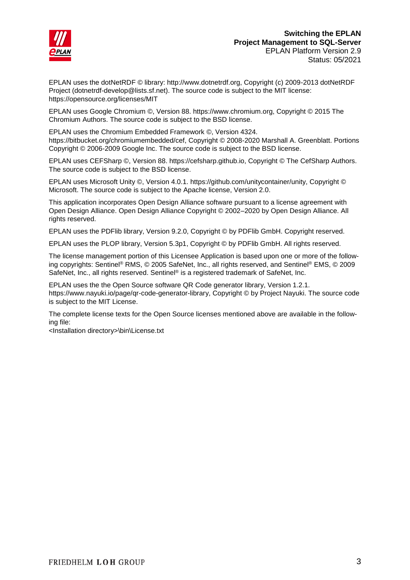

EPLAN uses the dotNetRDF © library: http://www.dotnetrdf.org, Copyright (c) 2009-2013 dotNetRDF Project (dotnetrdf-develop@lists.sf.net). The source code is subject to the MIT license: https://opensource.org/licenses/MIT

EPLAN uses Google Chromium ©, Version 88. https://www.chromium.org, Copyright © 2015 The Chromium Authors. The source code is subject to the BSD license.

EPLAN uses the Chromium Embedded Framework ©, Version 4324. https://bitbucket.org/chromiumembedded/cef, Copyright © 2008-2020 Marshall A. Greenblatt. Portions Copyright © 2006-2009 Google Inc. The source code is subject to the BSD license.

EPLAN uses CEFSharp ©, Version 88. https://cefsharp.github.io, Copyright © The CefSharp Authors. The source code is subject to the BSD license.

EPLAN uses Microsoft Unity ©, Version 4.0.1. https://github.com/unitycontainer/unity, Copyright © Microsoft. The source code is subject to the Apache license, Version 2.0.

This application incorporates Open Design Alliance software pursuant to a license agreement with Open Design Alliance. Open Design Alliance Copyright © 2002–2020 by Open Design Alliance. All rights reserved.

EPLAN uses the PDFlib library, Version 9.2.0, Copyright © by PDFlib GmbH. Copyright reserved.

EPLAN uses the PLOP library, Version 5.3p1, Copyright © by PDFlib GmbH. All rights reserved.

The license management portion of this Licensee Application is based upon one or more of the following copyrights: Sentinel® RMS, © 2005 SafeNet, Inc., all rights reserved, and Sentinel® EMS, © 2009 SafeNet, Inc., all rights reserved. Sentinel® is a registered trademark of SafeNet, Inc.

EPLAN uses the the Open Source software QR Code generator library, Version 1.2.1. https://www.nayuki.io/page/qr-code-generator-library, Copyright © by Project Nayuki. The source code is subject to the MIT License.

The complete license texts for the Open Source licenses mentioned above are available in the following file:

<Installation directory>\bin\License.txt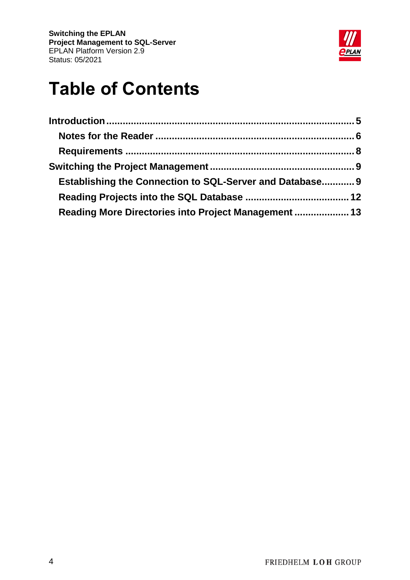

# **Table of Contents**

| Establishing the Connection to SQL-Server and Database 9 |  |
|----------------------------------------------------------|--|
|                                                          |  |
| Reading More Directories into Project Management  13     |  |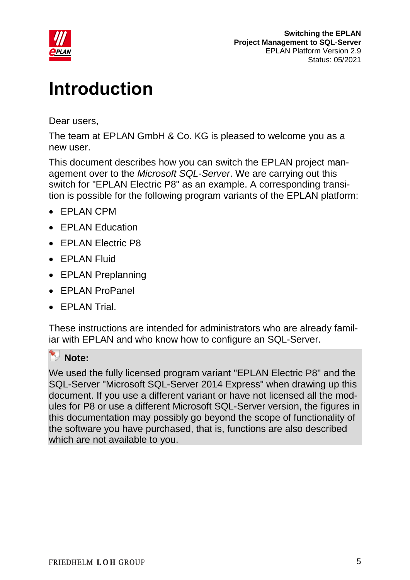

# <span id="page-4-0"></span>**Introduction**

Dear users,

The team at EPLAN GmbH & Co. KG is pleased to welcome you as a new user.

This document describes how you can switch the EPLAN project management over to the *Microsoft SQL-Server*. We are carrying out this switch for "EPLAN Electric P8" as an example. A corresponding transition is possible for the following program variants of the EPLAN platform:

- EPLAN CPM
- EPLAN Education
- EPLAN Electric P8
- EPLAN Fluid
- EPLAN Preplanning
- EPLAN ProPanel
- **EPLAN Trial.**

These instructions are intended for administrators who are already familiar with EPLAN and who know how to configure an SQL-Server.

#### R. **Note:**

We used the fully licensed program variant "EPLAN Electric P8" and the SQL-Server "Microsoft SQL-Server 2014 Express" when drawing up this document. If you use a different variant or have not licensed all the modules for P8 or use a different Microsoft SQL-Server version, the figures in this documentation may possibly go beyond the scope of functionality of the software you have purchased, that is, functions are also described which are not available to you.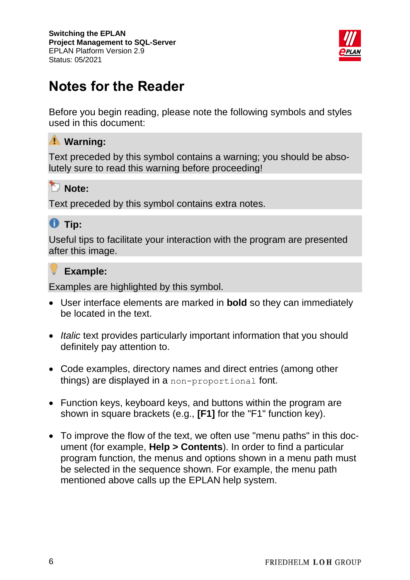

# <span id="page-5-0"></span>**Notes for the Reader**

Before you begin reading, please note the following symbols and styles used in this document:

### **Warning:**

Text preceded by this symbol contains a warning; you should be absolutely sure to read this warning before proceeding!

## **Note:**

Text preceded by this symbol contains extra notes.

## *<u>O* Tip:</u>

Useful tips to facilitate your interaction with the program are presented after this image.

### **Example:**

Examples are highlighted by this symbol.

- User interface elements are marked in **bold** so they can immediately be located in the text.
- *Italic* text provides particularly important information that you should definitely pay attention to.
- Code examples, directory names and direct entries (among other things) are displayed in a non-proportional font.
- Function keys, keyboard keys, and buttons within the program are shown in square brackets (e.g., **[F1]** for the "F1" function key).
- To improve the flow of the text, we often use "menu paths" in this document (for example, **Help > Contents**). In order to find a particular program function, the menus and options shown in a menu path must be selected in the sequence shown. For example, the menu path mentioned above calls up the EPLAN help system.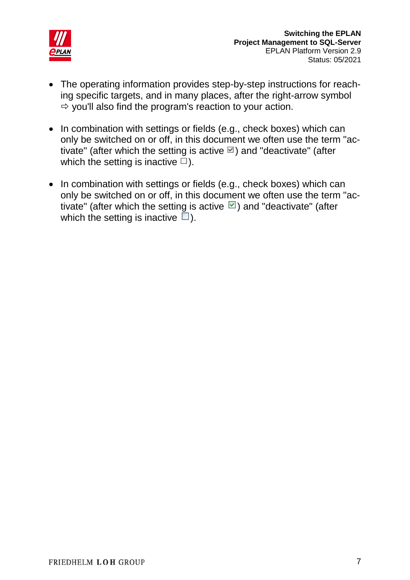

- The operating information provides step-by-step instructions for reaching specific targets, and in many places, after the right-arrow symbol  $\Rightarrow$  you'll also find the program's reaction to your action.
- In combination with settings or fields (e.g., check boxes) which can only be switched on or off, in this document we often use the term "activate" (after which the setting is active  $\Box$ ) and "deactivate" (after which the setting is inactive  $\Box$ ).
- In combination with settings or fields (e.g., check boxes) which can only be switched on or off, in this document we often use the term "activate" (after which the setting is active  $\Box$ ) and "deactivate" (after which the setting is inactive  $\Box$ ).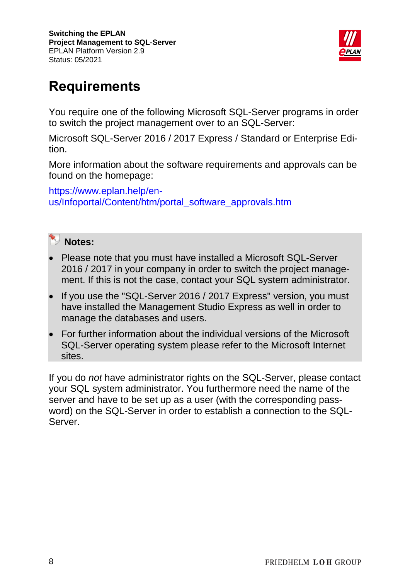

# <span id="page-7-0"></span>**Requirements**

You require one of the following Microsoft SQL-Server programs in order to switch the project management over to an SQL-Server:

Microsoft SQL-Server 2016 / 2017 Express / Standard or Enterprise Edition.

More information about the software requirements and approvals can be found on the homepage:

[https://www.eplan.help/en](https://www.eplan.help/en-us/Infoportal/Content/htm/portal_software_approvals.htm)[us/Infoportal/Content/htm/portal\\_software\\_approvals.htm](https://www.eplan.help/en-us/Infoportal/Content/htm/portal_software_approvals.htm)



- Please note that you must have installed a Microsoft SQL-Server 2016 / 2017 in your company in order to switch the project management. If this is not the case, contact your SQL system administrator.
- If you use the "SQL-Server 2016 / 2017 Express" version, you must have installed the Management Studio Express as well in order to manage the databases and users.
- For further information about the individual versions of the Microsoft SQL-Server operating system please refer to the Microsoft Internet sites.

If you do *not* have administrator rights on the SQL-Server, please contact your SQL system administrator. You furthermore need the name of the server and have to be set up as a user (with the corresponding password) on the SQL-Server in order to establish a connection to the SQL-Server.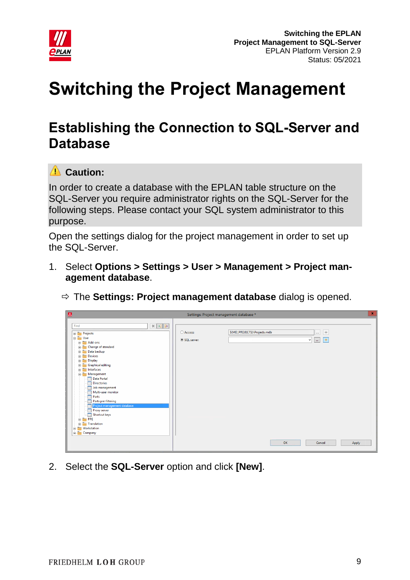

# <span id="page-8-0"></span>**Switching the Project Management**

## <span id="page-8-1"></span>**Establishing the Connection to SQL-Server and Database**

## **Caution:**

In order to create a database with the EPLAN table structure on the SQL-Server you require administrator rights on the SQL-Server for the following steps. Please contact your SQL system administrator to this purpose.

Open the settings dialog for the project management in order to set up the SQL-Server.

1. Select **Options > Settings > User > Management > Project management database**.



| $\mathbf x$<br>$\blacktriangle$<br>Settings: Project management database *                                                                                                                                                                                                                                                                                                                                                                                                                                                                                                                                 |                                                                                                                                |  |  |
|------------------------------------------------------------------------------------------------------------------------------------------------------------------------------------------------------------------------------------------------------------------------------------------------------------------------------------------------------------------------------------------------------------------------------------------------------------------------------------------------------------------------------------------------------------------------------------------------------------|--------------------------------------------------------------------------------------------------------------------------------|--|--|
| $\mathbb{X}$ -1 $\mathbb{B}$<br>Find<br><b>Projects</b><br><b>E</b> -T User<br>$\overline{\mathbb{H}}$ $\overline{\mathbb{H}}$ Add-ons<br>Change of standard<br><b>E</b> Data backup<br><b>Devices</b><br><b>Display</b><br><b>E</b> Graphical editing<br>interfaces<br>Management<br><b>FOR Data Portal</b><br><b>Directories</b><br><b>Job management</b><br>Multi-user monitor<br><b>Form</b> Parts<br><b>Parts pre-filtering</b><br><b>FOR Project management database</b><br><b>Proxy server</b><br><b>FOR</b> Shortcut keys<br>$\frac{1}{2}$ PPE<br><b>E</b> Translation<br>Workstation<br>E Company | S(MD_PROJECTS)\Projects.mdb<br>  米<br>○ Access:<br>$\cdots$<br>SQL server:<br>  来<br>$\vee$<br>$\sim$<br>OK<br>Cancel<br>Apply |  |  |

2. Select the **SQL-Server** option and click **[New]**.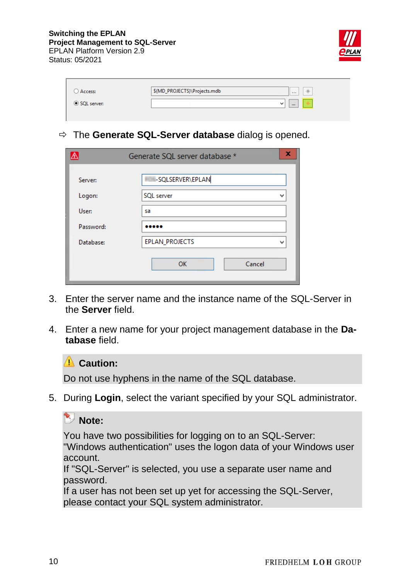

| Access:     | \$(MD_PROJECTS)\Projects.mdb | 1.11     | 米 |  |
|-------------|------------------------------|----------|---|--|
| SQL server: | w                            | $\cdots$ |   |  |

The **Generate SQL-Server database** dialog is opened.

|           | Generate SQL server database * | x |
|-----------|--------------------------------|---|
| Server:   | -SQLSERVER\EPLAN               |   |
| Logon:    | SQL server                     | w |
| User:     | sa                             |   |
| Password: |                                |   |
| Database: | <b>EPLAN_PROJECTS</b>          | w |
|           | Cancel<br>OK                   |   |

- 3. Enter the server name and the instance name of the SQL-Server in the **Server** field.
- 4. Enter a new name for your project management database in the **Database** field.

### **Caution:**

Do not use hyphens in the name of the SQL database.

5. During **Login**, select the variant specified by your SQL administrator.

### **Note:**

You have two possibilities for logging on to an SQL-Server:

"Windows authentication" uses the logon data of your Windows user account.

If "SQL-Server" is selected, you use a separate user name and password.

If a user has not been set up yet for accessing the SQL-Server, please contact your SQL system administrator.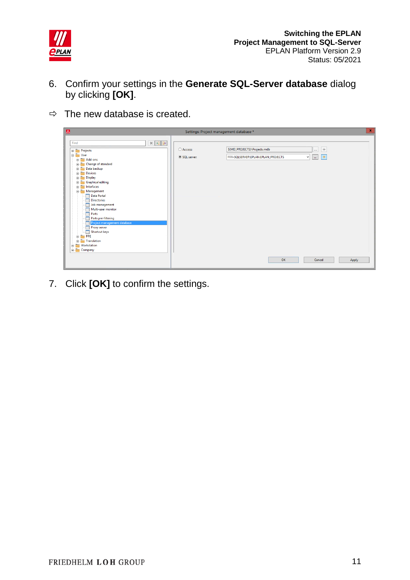

- 6. Confirm your settings in the **Generate SQL-Server database** dialog by clicking **[OK]**.
- $\Rightarrow$  The new database is created.

| $\mathbf{x}$<br>$\blacksquare$<br>Settings: Project management database *                                                                                                                                                                                                                                                                                                                                                                                                                                                                                                          |                          |                                                                 |                                              |
|------------------------------------------------------------------------------------------------------------------------------------------------------------------------------------------------------------------------------------------------------------------------------------------------------------------------------------------------------------------------------------------------------------------------------------------------------------------------------------------------------------------------------------------------------------------------------------|--------------------------|-----------------------------------------------------------------|----------------------------------------------|
| $\mathbb{X}$ + $\rightarrow$<br>Find<br><b>E</b> Projects<br><b>B</b> User<br>$\frac{1}{2}$ Add-ons<br><b>EDIT</b> Change of standard<br><b>E</b> Data backup<br><b>E</b> Devices<br>Display<br><b>E</b> Graphical editing<br>interfaces<br>Management<br><b>Data Portal</b><br><b>Directories</b><br><b>Job management</b><br>Multi-user monitor<br>ŧΠ<br>Parts<br>90<br>Parts pre-filtering<br><b>Following</b> Project management database<br><b>FOR Proxy server</b><br><b>Shortcut keys</b><br>$\frac{1}{2}$ PPE<br><b>Translation</b><br><b>Workstation</b><br>Ė-<br>Company | ○ Access:<br>SQL server: | \$(MD_PROJECTS)\Projects.mdb<br>-SQLSERVER\EPLAN.EPLAN_PROJECTS | $  *$<br>$\cdots$<br>  米<br>$\vee$<br>$\sim$ |
|                                                                                                                                                                                                                                                                                                                                                                                                                                                                                                                                                                                    |                          | OK                                                              | Cancel<br>Apply                              |

7. Click **[OK]** to confirm the settings.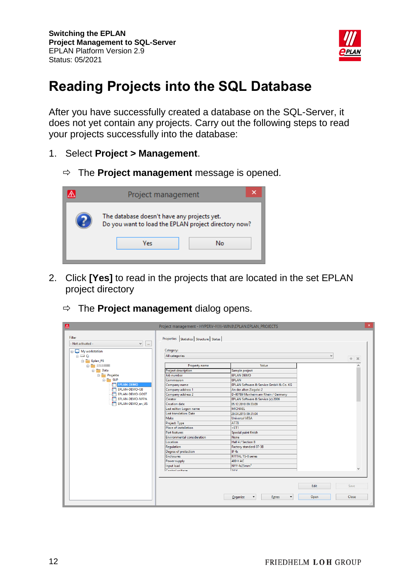

## <span id="page-11-0"></span>**Reading Projects into the SQL Database**

After you have successfully created a database on the SQL-Server, it does not yet contain any projects. Carry out the following steps to read your projects successfully into the database:

- 1. Select **Project > Management**.
	- $\Rightarrow$  The **Project management** message is opened.



- 2. Click **[Yes]** to read in the projects that are located in the set EPLAN project directory
	- The **Project management** dialog opens.

| $\Delta$                                              | Project management - HYPERV-I - WIN8\EPLAN.EPLAN_PROJECTS |                                        |              | $\vert x \vert$ |
|-------------------------------------------------------|-----------------------------------------------------------|----------------------------------------|--------------|-----------------|
| Filter<br>- Not activated -<br>v<br>$\sim$            | Properties   Statistics   Structure   Status              |                                        |              |                 |
| My workstation                                        | Category:                                                 |                                        |              |                 |
| $\mathbb{R}$ $\mathbb{R}$ $\mathbb{R}$ $\mathbb{C}$ : | All categories                                            |                                        | $\checkmark$ |                 |
| Eplan_P8                                              |                                                           |                                        |              | * *             |
| <b>C-2 233930</b>                                     | Property name                                             | Value                                  |              |                 |
| <b>Data</b>                                           | <b>Project description</b>                                | Sample project                         |              |                 |
| <b>Projekte</b>                                       | Job number                                                | <b>EPLAN DEMO</b>                      |              |                 |
| $\frac{1}{\Box}$ SUP                                  | Commission                                                | <b>EPLAN</b>                           |              |                 |
| <b>EPLAN-DEMO</b>                                     | Company name                                              | EPLAN Software & Service GmbH & Co. KG |              |                 |
| EPLAN-DEMO-GB                                         | Company address 1                                         | An der alten Ziegelei 2                |              |                 |
| <b>FRIDEN BEMO-GOST</b>                               | Company address 2                                         | D-40789 Monheim am Rhein / Germany     |              |                 |
| EPLAN-DEMO-NFPA                                       | Creator                                                   | EPLAN Software & Service (c) 2006      |              |                 |
| FILEPLAN-DEMO en US                                   | <b>Creation date</b>                                      | 05.12.2010 09:33:09                    |              |                 |
|                                                       | Last editor: Logon name                                   | <b>MICHAEL</b>                         |              |                 |
|                                                       | Last translation: Date                                    | 29.04.2015 09:31:04                    |              |                 |
|                                                       | Make                                                      | <b>Universal VESA</b>                  |              |                 |
|                                                       | Project: Type                                             | <b>AT78</b>                            |              |                 |
|                                                       | Place of installation                                     | $+ET1$                                 |              |                 |
|                                                       | Part features                                             | Special paint finish                   |              |                 |
|                                                       | <b>Environmental consideration</b>                        | <b>None</b>                            |              |                 |
|                                                       | Location                                                  | Hall 4 / Section B                     |              |                 |
|                                                       | Regulation                                                | Factory standard 07-3B                 |              |                 |
|                                                       | Degree of protection                                      | $IP$ <sub>4x</sub>                     |              |                 |
|                                                       | <b>Enclosures</b>                                         | <b>RITTAL TS-8 series</b>              |              |                 |
|                                                       | Power supply                                              | 400 V AC                               |              |                 |
|                                                       | Input lead                                                | NYY 4x25mm <sup>2</sup>                |              |                 |
|                                                       | Control voltage                                           | 24M                                    |              |                 |
|                                                       |                                                           |                                        |              |                 |
|                                                       |                                                           |                                        |              |                 |
|                                                       |                                                           |                                        | Edit         | Save            |
|                                                       |                                                           |                                        |              |                 |
|                                                       |                                                           | Extras<br>Organize                     | Open         | Close           |
|                                                       |                                                           |                                        |              |                 |
|                                                       |                                                           |                                        |              |                 |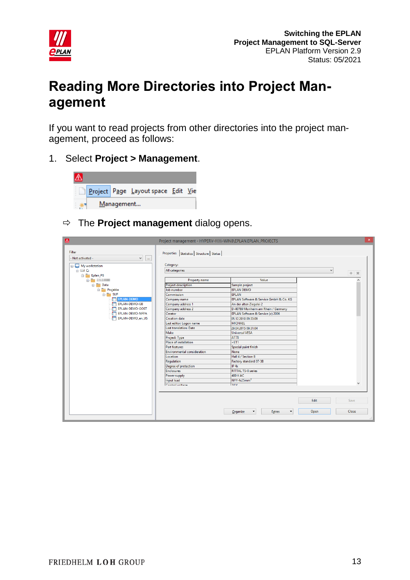

## <span id="page-12-0"></span>**Reading More Directories into Project Management**

If you want to read projects from other directories into the project management, proceed as follows:

1. Select **Project > Management**.



The **Project management** dialog opens.

| $\Delta$                                                       | Project management - HYPERV-I - WIN8\EPLAN.EPLAN_PROJECTS   |                                                                   |      | $\mathsf{x}$ |
|----------------------------------------------------------------|-------------------------------------------------------------|-------------------------------------------------------------------|------|--------------|
| Filter<br>- Not activated -<br>v<br>$\ldots$<br>My workstation | Properties   Statistics   Structure   Status  <br>Category: |                                                                   |      |              |
| $\mathbf{A} = \mathbf{A}$                                      | All categories                                              |                                                                   | v    | $* 1$        |
| Eplan_P8<br><b>C. T. 153,000</b>                               | Property name                                               | Value                                                             |      |              |
| <b>Data</b><br><b>Projekte</b>                                 | <b>Project description</b><br>Job number                    | Sample project<br><b>EPLAN DEMO</b>                               |      |              |
| $\frac{1}{10}$ SUP                                             | Commission                                                  | <b>EPLAN</b>                                                      |      |              |
| <b>EPLAN-DEMO</b><br><b>FRIDEPLAN-DEMO-GB</b>                  | Company name<br>Company address 1                           | EPLAN Software & Service GmbH & Co. KG<br>An der alten Ziegelei 2 |      |              |
| EPLAN-DEMO-GOST                                                | Company address 2                                           | D-40789 Monheim am Rhein / Germany                                |      |              |
| <b>FEDERAN-DEMO-NFPA</b><br>EPLAN-DEMO_en_US<br>m              | Creator<br><b>Creation date</b>                             | EPLAN Software & Service (c) 2006<br>05.12.2010 09:33:09          |      |              |
|                                                                | Last editor: Logon name<br><b>Last translation: Date</b>    | <b>MICHAEL</b><br>29.04.2015 09:31:04                             |      |              |
|                                                                | Make                                                        | <b>Universal VESA</b>                                             |      |              |
|                                                                | Project: Type<br><b>Place of installation</b>               | <b>AT78</b><br>$+ET1$                                             |      |              |
|                                                                | <b>Part features</b>                                        | Special paint finish                                              |      |              |
|                                                                | <b>Environmental consideration</b><br>Location              | None<br>Hall 4 / Section B                                        |      |              |
|                                                                | <b>Regulation</b>                                           | Factory standard 07-3B                                            |      |              |
|                                                                | Degree of protection<br><b>Enclosures</b>                   | IP 4x<br><b>RITTAL TS-8 series</b>                                |      |              |
|                                                                | Power supply                                                | 400 V AC                                                          |      |              |
|                                                                | Input lead<br>Control voltage                               | NYY 4x25mm <sup>2</sup><br>24M                                    |      | $\checkmark$ |
|                                                                |                                                             |                                                                   |      |              |
|                                                                |                                                             |                                                                   | Edit | Save         |
|                                                                |                                                             |                                                                   |      |              |
|                                                                |                                                             | Organize<br>Extras                                                | Open | Close        |
|                                                                |                                                             |                                                                   |      |              |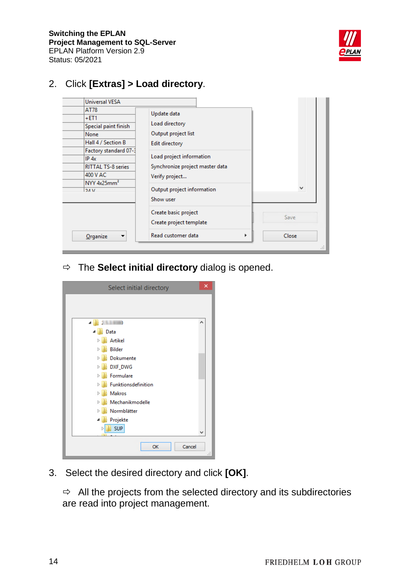

### 2. Click **[Extras] > Load directory**.



The **Select initial directory** dialog is opened.

| Select initial directory    | × |
|-----------------------------|---|
|                             |   |
|                             |   |
| 2.5.3.0100<br>◢             | ۸ |
| Data<br>◢                   |   |
| Artikel<br>$\triangleright$ |   |
| Bilder<br>$\triangleright$  |   |
| Dokumente<br>ь              |   |
| DXF_DWG<br>Þ                |   |
| Formulare<br>Þ              |   |
| Funktionsdefinition<br>Þ    |   |
| Makros<br>Ď                 |   |
| Mechanikmodelle             |   |
| Normblätter                 |   |
| Projekte<br>4               |   |
| <b>SUP</b>                  | v |
|                             |   |
| Cancel<br>OK                |   |
|                             |   |

3. Select the desired directory and click **[OK]**.

 $\Rightarrow$  All the projects from the selected directory and its subdirectories are read into project management.